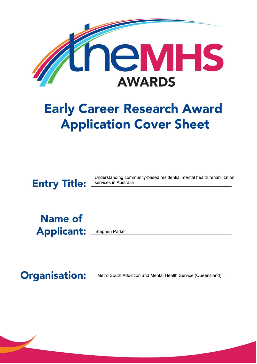

# **Early Career Research Award Application Cover Sheet**

**Entry Title:** 

Understanding community-based residential mental health rehabilitation services in Australia

**Name of Applicant:** 

Stephen Parker

**Organisation:** 

Metro South Addiction and Mental Health Service (Queensland)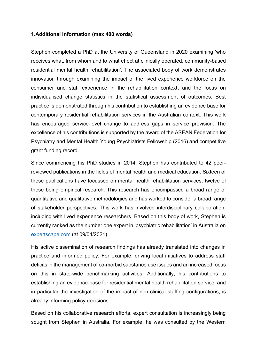#### **1.Additional Information (max 400 words)**

Stephen completed a PhD at the University of Queensland in 2020 examining 'who receives what, from whom and to what effect at clinically operated, community-based residential mental health rehabilitation'. The associated body of work demonstrates innovation through examining the impact of the lived experience workforce on the consumer and staff experience in the rehabilitation context, and the focus on individualised change statistics in the statistical assessment of outcomes. Best practice is demonstrated through his contribution to establishing an evidence base for contemporary residential rehabilitation services in the Australian context. This work has encouraged service-level change to address gaps in service provision. The excellence of his contributions is supported by the award of the ASEAN Federation for Psychiatry and Mental Health Young Psychiatrists Fellowship (2016) and competitive grant funding record.

Since commencing his PhD studies in 2014, Stephen has contributed to 42 peerreviewed publications in the fields of mental health and medical education. Sixteen of these publications have focussed on mental health rehabilitation services, twelve of these being empirical research. This research has encompassed a broad range of quantitative and qualitative methodologies and has worked to consider a broad range of stakeholder perspectives. This work has involved interdisciplinary collaboration, including with lived experience researchers. Based on this body of work, Stephen is currently ranked as the number one expert in 'psychiatric rehabilitation' in Australia on [expertscape.com](https://expertscape.com/ex/psychiatric+rehabilitation/c/au) (at 09/04/2021).

His active dissemination of research findings has already translated into changes in practice and informed policy. For example, driving local initiatives to address staff deficits in the management of co-morbid substance use issues and an increased focus on this in state-wide benchmarking activities. Additionally, his contributions to establishing an evidence-base for residential mental health rehabilitation service, and in particular the investigation of the impact of non-clinical staffing configurations, is already informing policy decisions.

Based on his collaborative research efforts, expert consultation is increasingly being sought from Stephen in Australia. For example; he was consulted by the Western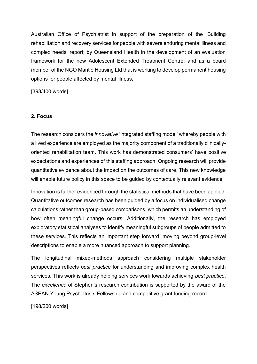Australian Office of Psychiatrist in support of the preparation of the 'Building rehabilitation and recovery services for people with severe enduring mental illness and complex needs' report; by Queensland Health in the development of an evaluation framework for the new Adolescent Extended Treatment Centre; and as a board member of the NGO Mantle Housing Ltd that is working to develop permanent housing options for people affected by mental illness.

[393/400 words]

### **2. Focus**

The research considers the *innovative* 'integrated staffing model' whereby people with a lived experience are employed as the majority component of a traditionally clinicallyoriented rehabilitation team. This work has demonstrated consumers' have positive expectations and experiences of this staffing approach. Ongoing research will provide quantitative evidence about the impact on the outcomes of care. This new knowledge will enable future policy in this space to be guided by contextually relevant evidence.

Innovation is further evidenced through the statistical methods that have been applied. Quantitative outcomes research has been guided by a focus on individualised change calculations rather than group-based comparisons, which permits an understanding of how often meaningful change occurs. Additionally, the research has employed exploratory statistical analyses to identify meaningful subgroups of people admitted to these services. This reflects an important step forward, moving beyond group-level descriptions to enable a more nuanced approach to support planning.

The longitudinal mixed-methods approach considering multiple stakeholder perspectives reflects *best practice* for understanding and improving complex health services. This work is already helping services work towards achieving *best practice*. The *excellence* of Stephen's research contribution is supported by the award of the ASEAN Young Psychiatrists Fellowship and competitive grant funding record.

[198/200 words]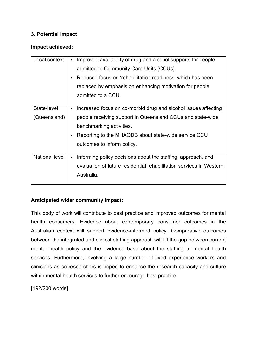### **3. Potential Impact**

#### **Impact achieved:**

| Local context               | Improved availability of drug and alcohol supports for people<br>admitted to Community Care Units (CCUs).<br>Reduced focus on 'rehabilitation readiness' which has been<br>٠<br>replaced by emphasis on enhancing motivation for people<br>admitted to a CCU. |
|-----------------------------|---------------------------------------------------------------------------------------------------------------------------------------------------------------------------------------------------------------------------------------------------------------|
| State-level<br>(Queensland) | Increased focus on co-morbid drug and alcohol issues affecting<br>people receiving support in Queensland CCUs and state-wide<br>benchmarking activities.<br>Reporting to the MHAODB about state-wide service CCU<br>٠<br>outcomes to inform policy.           |
| National level              | Informing policy decisions about the staffing, approach, and<br>evaluation of future residential rehabilitation services in Western<br>Australia.                                                                                                             |

#### **Anticipated wider community impact:**

This body of work will contribute to best practice and improved outcomes for mental health consumers. Evidence about contemporary consumer outcomes in the Australian context will support evidence-informed policy. Comparative outcomes between the integrated and clinical staffing approach will fill the gap between current mental health policy and the evidence base about the staffing of mental health services. Furthermore, involving a large number of lived experience workers and clinicians as co-researchers is hoped to enhance the research capacity and culture within mental health services to further encourage best practice.

[192/200 words]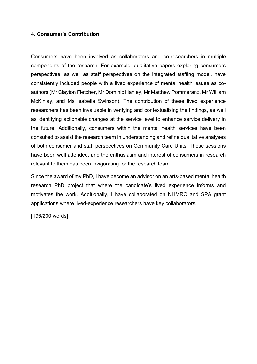#### **4. Consumer's Contribution**

Consumers have been involved as collaborators and co-researchers in multiple components of the research. For example, qualitative papers exploring consumers perspectives, as well as staff perspectives on the integrated staffing model, have consistently included people with a lived experience of mental health issues as coauthors (Mr Clayton Fletcher, Mr Dominic Hanley, Mr Matthew Pommeranz, Mr William McKinlay, and Ms Isabella Swinson). The contribution of these lived experience researchers has been invaluable in verifying and contextualising the findings, as well as identifying actionable changes at the service level to enhance service delivery in the future. Additionally, consumers within the mental health services have been consulted to assist the research team in understanding and refine qualitative analyses of both consumer and staff perspectives on Community Care Units. These sessions have been well attended, and the enthusiasm and interest of consumers in research relevant to them has been invigorating for the research team.

Since the award of my PhD, I have become an advisor on an arts-based mental health research PhD project that where the candidate's lived experience informs and motivates the work. Additionally, I have collaborated on NHMRC and SPA grant applications where lived-experience researchers have key collaborators.

[196/200 words]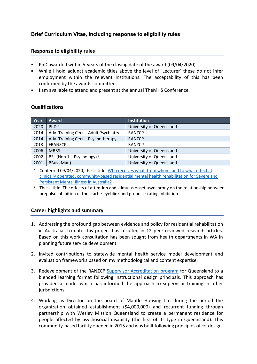#### **Brief Curriculum Vitae, including response to [eligibility rules](https://www.themhs.org/early-career-research-application/)**

#### **Response to eligibility rules**

- PhD awarded within 5-years of the closing date of the award (09/04/2020)
- While I hold adjunct academic titles above the level of 'Lecturer' these do not infer employment within the relevant institutions. The acceptability of this has been confirmed by the awards committee.
- I am available to attend and present at the annual TheMHS Conference.

#### **Qualifications**

| Year | Award                                  | <b>Institution</b>       |
|------|----------------------------------------|--------------------------|
| 2020 | PhD <sup>a</sup>                       | University of Queensland |
| 2014 | Adv. Training Cert. - Adult Psychiatry | <b>RANZCP</b>            |
| 2014 | Adv. Training Cert. - Psychotherapy    | <b>RANZCP</b>            |
| 2013 | <b>FRANZCP</b>                         | <b>RANZCP</b>            |
| 2006 | <b>MBBS</b>                            | University of Queensland |
| 2002 | BSc (Hon $1 -$ Psychology) $b$         | University of Queensland |
| 2001 | BBus (Man)                             | University of Queensland |

<sup>a</sup> Conferred 09/04/2020, thesis title: Who receives what, from whom, and to what effect at [clinically operated, community-based residential mental health rehabilitation for Severe and](https://espace.library.uq.edu.au/view/UQ:3c85a81)  [Persistent Mental Illness in Australia?](https://espace.library.uq.edu.au/view/UQ:3c85a81)

b Thesis title: The effects of attention and stimulus onset asynchrony on the relationship between prepulse inhibition of the startle-eyeblink and prepulse-rating inhibition

#### **Career highlights and summary**

- 1. Addressing the profound gap between evidence and policy for residential rehabilitation in Australia. To date this project has resulted in 12 peer-reviewed research articles. Based on this work consultation has been sought from health departments in WA in planning future service development.
- 2. Invited contributions to statewide mental health service model development and evaluation frameworks based on my methodological and content expertise.
- 3. Redevelopment of the RANZCP [Supervisor Accreditation program](https://journals.sagepub.com/doi/full/10.1177/1039856220928875) for Queensland to a blended learning format following instructional design principals. This approach has provided a model which has informed the approach to supervisor training in other jurisdictions.
- 4. Working as Director on the board of Mantle Housing Ltd during the period the organization obtained establishment (\$4,000,000) and recurrent funding through partnership with Wesley Mission Queensland to create a permanent residence for people affected by psychosocial disability (the first of its type in Queensland). This community-based facility opened in 2015 and was built following principles of co-design.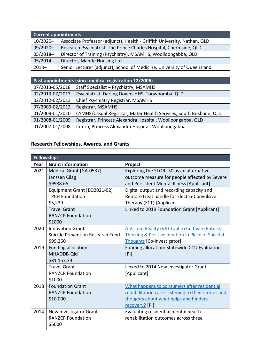| <b>Current appointments</b> |                                                                          |
|-----------------------------|--------------------------------------------------------------------------|
| $10/2020 -$                 | Associate Professor (adjunct), Health - Griffith University, Nathan, QLD |
| 09/2020-                    | Research Psychiatrist, The Prince Charles Hospital, Chermside, QLD       |
| $05/2018-$                  | Director of Training (Psychiatry), MSAMHS, Woolloongabba, QLD            |
| $05/2014-$                  | Director, Mantle Housing Ltd                                             |
| $2013 -$                    | Senior Lecturer (adjunct), School of Medicine, University of Queensland  |

| Past appointments (since medical registration 12/2006) |                                                                    |  |
|--------------------------------------------------------|--------------------------------------------------------------------|--|
| 07/2013-05/2018                                        | Staff Specialist - Psychiatry, MSAMHS                              |  |
| 02/2013-07/2013                                        | Psychiatrist, Darling Downs HHS, Toowoomba, QLD                    |  |
| 02/2012-02/2013                                        | Chief Psychiatry Registrar, MSAMHS                                 |  |
| 07/2009-02/2012                                        | Registrar, MSAMHS                                                  |  |
| 01/2009-01/2010                                        | CYMHS/Casual Registrar, Mater Health Services, South Brisbane, QLD |  |
| 01/2008-01/2009                                        | Registrar, Princess Alexandra Hospital, Woolloongabba, QLD         |  |
| 01/2007-01/2008                                        | Intern, Princess Alexandra Hospital, Woolloongabba                 |  |

## **Research Fellowships, Awards, and Grants**

|      | <b>Fellowships</b>                                                      |                                                                                                                                                               |
|------|-------------------------------------------------------------------------|---------------------------------------------------------------------------------------------------------------------------------------------------------------|
| Year | <b>Grant information</b>                                                | Project                                                                                                                                                       |
| 2021 | Medical Grant [GA-0537]<br>Janssen Cilag<br>\$9988.65                   | Exploring the STORI-30 as an alternative<br>outcome measure for people affected by Severe<br>and Persistent Mental Illness [Applicant]                        |
|      | Equipment Grant [EQ2021-02]<br><b>TPCH Foundation</b><br>\$5,239        | Digital output and recording capacity and<br>Remote treat handle for Electro-Convulsive<br>Therapy (ECT) [Applicant]                                          |
|      | <b>Travel Grant</b><br><b>RANZCP Foundation</b><br>\$1000               | Linked to 2019 Foundation Grant [Applicant]                                                                                                                   |
| 2020 | <b>Innovation Grant</b><br>Suicide Prevention Research Fund<br>\$99,260 | A Virtual Reality (VR) Tool to Cultivate Future,<br>Thinking & Positive Ideation in Place of Suicidal<br>Thoughts [Co-investigator]                           |
| 2019 | <b>Funding allocation</b><br>MHAODB-Qld<br>\$81,157.34                  | Funding allocation: Statewide CCU Evaluation<br>[PI]                                                                                                          |
|      | <b>Travel Grant</b><br><b>RANZCP Foundation</b><br>\$1000               | Linked to 2014 New Investigator Grant<br>[Applicant]                                                                                                          |
| 2018 | <b>Foundation Grant</b><br><b>RANZCP Foundation</b><br>\$10,000         | What happens to consumers after residential<br>rehabilitation care: Listening to their stories and<br>thoughts about what helps and hinders<br>recovery? [PI] |
| 2014 | New Investigator Grant<br><b>RANZCP Foundation</b><br>\$6000            | Evaluating residential mental health<br>rehabilitation outcomes across three                                                                                  |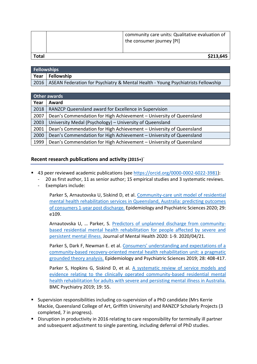|       | community care units: Qualitative evaluation of<br>the consumer journey [PI] |
|-------|------------------------------------------------------------------------------|
| Total | \$213,645                                                                    |

| <b>Fellowships</b> |                                                                                         |
|--------------------|-----------------------------------------------------------------------------------------|
|                    | Year   Fellowship                                                                       |
|                    | 2016   ASEAN Federation for Psychiatry & Mental Health - Young Psychiatrists Fellowship |

| Other awards |                                                                     |
|--------------|---------------------------------------------------------------------|
| Year         | Award                                                               |
| 2018         | RANZCP Queensland award for Excellence in Supervision               |
| 2007         | Dean's Commendation for High Achievement - University of Queensland |
| 2003         | University Medal (Psychology) – University of Queensland            |
| 2001         | Dean's Commendation for High Achievement - University of Queensland |
| 2000         | Dean's Commendation for High Achievement - University of Queensland |
| 1999         | Dean's Commendation for High Achievement - University of Queensland |

#### **Recent research publications and activity (2015+)**<sup>~</sup>

- 43 peer reviewed academic publications (see [https://orcid.org/0000-0002-6022-3981\)](https://orcid.org/0000-0002-6022-3981):
	- 20 as first author, 11 as senior author; 15 empirical studies and 3 systematic reviews.
	- Exemplars include:

Parker S, Arnautovska U, Siskind D, et al. [Community-care unit model of residential](https://pubmed.ncbi.nlm.nih.gov/32157987/)  [mental health rehabilitation services in Queensland, Australia: predicting outcomes](https://pubmed.ncbi.nlm.nih.gov/32157987/)  [of consumers 1-year post discharge.](https://pubmed.ncbi.nlm.nih.gov/32157987/) Epidemiology and Psychiatric Sciences 2020; 29: e109.

Arnautovska U, ... Parker, S. [Predictors of unplanned discharge from community](https://pubmed.ncbi.nlm.nih.gov/32310701/)[based residential mental health rehabilitation for people affected by severe and](https://pubmed.ncbi.nlm.nih.gov/32310701/)  [persistent mental illness.](https://pubmed.ncbi.nlm.nih.gov/32310701/) Journal of Mental Health 2020: 1-9. 2020/04/21.

Parker S, Dark F, Newman E. et al. [Consumers' understanding and expectations of a](https://pubmed.ncbi.nlm.nih.gov/29199920/)  [community-based recovery-oriented mental health rehabilitation unit: a pragmatic](https://pubmed.ncbi.nlm.nih.gov/29199920/)  [grounded theory analysis.](https://pubmed.ncbi.nlm.nih.gov/29199920/) Epidemiology and Psychiatric Sciences 2019; 28: 408-417.

Parker S, Hopkins G, Siskind D, et al. [A systematic review of service models and](https://pubmed.ncbi.nlm.nih.gov/30717713/)  [evidence relating to the clinically operated community-based residential mental](https://pubmed.ncbi.nlm.nih.gov/30717713/)  [health rehabilitation for adults with severe and persisting mental illness in Australia.](https://pubmed.ncbi.nlm.nih.gov/30717713/) BMC Psychiatry 2019; 19: 55.

- Supervision responsibilities including co-supervision of a PhD candidate (Mrs Kerrie Mackie, Queensland College of Art, Griffith University) and RANZCP Scholarly Projects (3 completed, 7 in progress).
- Disruption in productivity in 2016 relating to care responsibility for terminally ill partner and subsequent adjustment to single parenting, including deferral of PhD studies.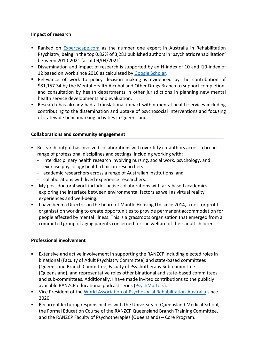#### **Impact of research**

- Ranked on [Expertscape.com](https://expertscape.com/au/psychiatric+rehabilitation/Parker%2C+S) as the number one expert in Australia in Rehabilitation Psychiatry, being in the top 0.82% of 3,281 published authors in 'psychiatric rehabilitation' between 2010-2021 [as at 09/04/2021].
- Dissemination and impact of research is supported by an H-index of 10 and i10-index of 12 based on work since 2016 as calculated by [Google Scholar.](https://scholar.google.com/citations?user=tS2Rm-0AAAAJ&hl=en)
- Relevance of work to policy decision making is evidenced by the contribution of \$81,157.34 by the Mental Health Alcohol and Other Drugs Branch to support completion, and consultation by health departments in other jurisdictions in planning new mental health service developments and evaluation.
- Research has already had a translational impact within mental health services including contributing to the dissemination and uptake of psychosocial interventions and focusing of statewide benchmarking activities in Queensland.

#### **Collaborations and community engagement**

- Research output has involved collaborations with over fifty co-authors across a broad range of professional disciplines and settings, including working with:
	- interdisciplinary health research involving nursing, social work, psychology, and exercise physiology health clinician-researchers
	- academic researchers across a range of Australian institutions, and
	- collaborations with lived experience researchers.
- My post-doctoral work includes active collaborations with arts-based academics exploring the interface between environmental factors as well as virtual reality experiences and well-being.
- **.** I have been a Director on the board of Mantle Housing Ltd since 2014, a not for profit organisation working to create opportunities to provide permanent accommodation for people affected by mental illness. This is a grassroots organisation that emerged from a committed group of aging parents concerned for the welfare of their adult children.

#### **Professional involvement**

- **Extensive and active involvement in supporting the RANZCP including elected roles in** binational (Faculty of Adult Psychiatry Committee) and state-based committees (Queensland Branch Committee, Faculty of Psychotherapy Sub-committee (Queensland), and representative roles other binational and state-based committees and sub-committees. Additionally, I have made invited contributions to the publicly available RANZCP educational podcast series [\(PsychMatters\)](https://psychmatters.ranzcp.org/1072258/8058476-preparing-for-the-essay-style-exam-modified-essay-questions-meq).
- Vice President of the [World Association of Psychosocial Rehabilitation-Australia](https://www.wapraus.org.au/) since 2020.
- Recurrent lecturing responsibilities with the University of Queensland Medical School, the Formal Education Course of the RANZCP Queensland Branch Training Committee, and the RANZCP Faculty of Psychotherapies (Queensland) – Core Program.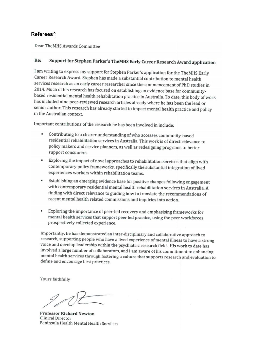#### **Referees^**

Dear TheMHS Awards Committee

#### Support for Stephen Parker's TheMHS Early Career Research Award application  $Re.$

I am writing to express my support for Stephen Parker's application for the TheMHS Early Career Research Award. Stephen has made a substantial contribution to mental health services research as an early career researcher since the commencement of PhD studies in 2014. Much of his research has focused on establishing an evidence base for communitybased residential mental health rehabilitation practice in Australia. To date, this body of work has included nine peer-reviewed research articles already where he has been the lead or senior author. This research has already started to impact mental health practice and policy in the Australian context.

Important contributions of the research he has been involved in include:

- Contributing to a clearer understanding of who accesses community-based residential rehabilitation services in Australia. This work is of direct relevance to policy makers and service planners, as well as redesigning programs to better support consumers.
- Exploring the impact of novel approaches to rehabilitation services that align with contemporary policy frameworks, specifically the substantial integration of lived experiences workers within rehabilitation teams.
- Establishing an emerging evidence base for positive changes following engagement with contemporary residential mental health rehabilitation services in Australia. A finding with direct relevance to guiding how to translate the recommendations of recent mental health related commissions and inquiries into action.
- Exploring the importance of peer-led recovery and emphasising frameworks for mental health services that support peer led practice, using the peer workforces prospectively collected experience.

Importantly, he has demonstrated an inter-disciplinary and collaborative approach to research, supporting people who have a lived experience of mental illness to have a strong voice and develop leadership within the psychiatric research field. His work to date has involved a large number of collaborators, and I am aware of his commitment to enhancing mental health services through fostering a culture that supports research and evaluation to define and encourage best practices.

Yours faithfully

**Professor Richard Newton Clinical Director** Peninsula Health Mental Health Services